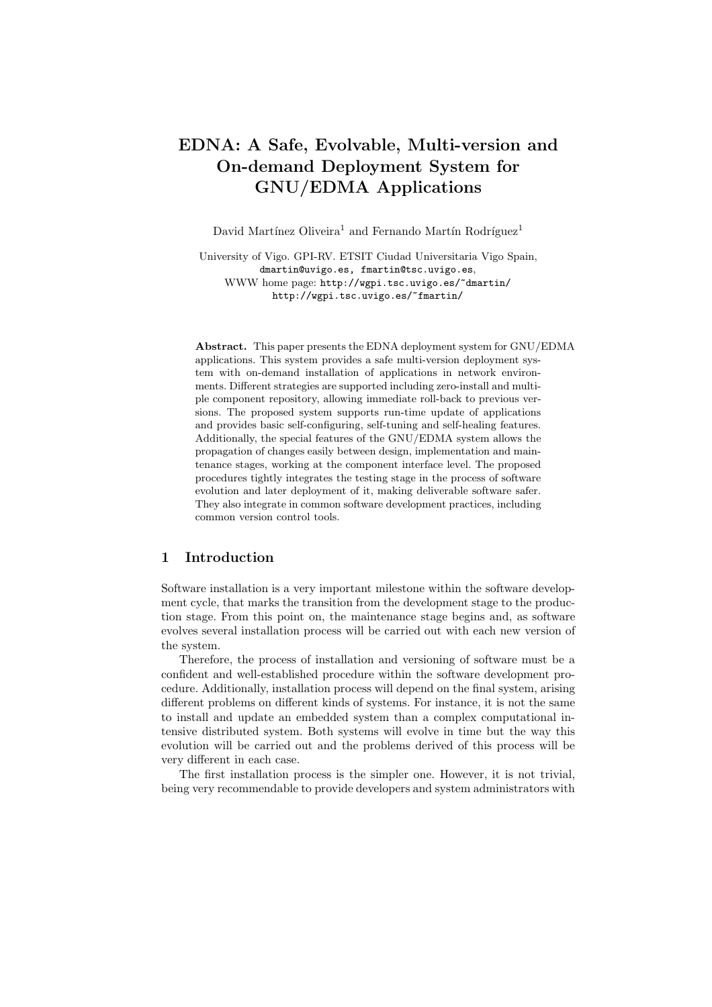# EDNA: A Safe, Evolvable, Multi-version and On-demand Deployment System for GNU/EDMA Applications

David Martínez Oliveira<sup>1</sup> and Fernando Martín Rodríguez<sup>1</sup>

University of Vigo. GPI-RV. ETSIT Ciudad Universitaria Vigo Spain, dmartin@uvigo.es, fmartin@tsc.uvigo.es, WWW home page: http://wgpi.tsc.uvigo.es/~dmartin/ http://wgpi.tsc.uvigo.es/~fmartin/

Abstract. This paper presents the EDNA deployment system for GNU/EDMA applications. This system provides a safe multi-version deployment system with on-demand installation of applications in network environments. Different strategies are supported including zero-install and multiple component repository, allowing immediate roll-back to previous versions. The proposed system supports run-time update of applications and provides basic self-configuring, self-tuning and self-healing features. Additionally, the special features of the GNU/EDMA system allows the propagation of changes easily between design, implementation and maintenance stages, working at the component interface level. The proposed procedures tightly integrates the testing stage in the process of software evolution and later deployment of it, making deliverable software safer. They also integrate in common software development practices, including common version control tools.

# 1 Introduction

Software installation is a very important milestone within the software development cycle, that marks the transition from the development stage to the production stage. From this point on, the maintenance stage begins and, as software evolves several installation process will be carried out with each new version of the system.

Therefore, the process of installation and versioning of software must be a confident and well-established procedure within the software development procedure. Additionally, installation process will depend on the final system, arising different problems on different kinds of systems. For instance, it is not the same to install and update an embedded system than a complex computational intensive distributed system. Both systems will evolve in time but the way this evolution will be carried out and the problems derived of this process will be very different in each case.

The first installation process is the simpler one. However, it is not trivial, being very recommendable to provide developers and system administrators with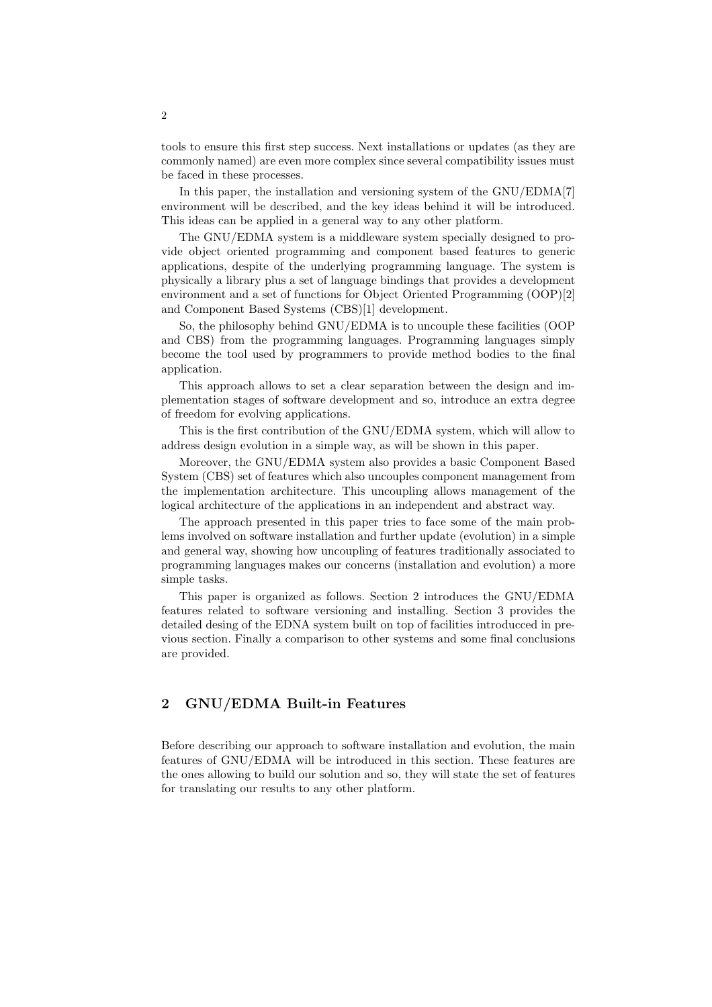tools to ensure this first step success. Next installations or updates (as they are commonly named) are even more complex since several compatibility issues must be faced in these processes.

In this paper, the installation and versioning system of the GNU/EDMA[7] environment will be described, and the key ideas behind it will be introduced. This ideas can be applied in a general way to any other platform.

The GNU/EDMA system is a middleware system specially designed to provide object oriented programming and component based features to generic applications, despite of the underlying programming language. The system is physically a library plus a set of language bindings that provides a development environment and a set of functions for Object Oriented Programming (OOP)[2] and Component Based Systems (CBS)[1] development.

So, the philosophy behind GNU/EDMA is to uncouple these facilities (OOP and CBS) from the programming languages. Programming languages simply become the tool used by programmers to provide method bodies to the final application.

This approach allows to set a clear separation between the design and implementation stages of software development and so, introduce an extra degree of freedom for evolving applications.

This is the first contribution of the GNU/EDMA system, which will allow to address design evolution in a simple way, as will be shown in this paper.

Moreover, the GNU/EDMA system also provides a basic Component Based System (CBS) set of features which also uncouples component management from the implementation architecture. This uncoupling allows management of the logical architecture of the applications in an independent and abstract way.

The approach presented in this paper tries to face some of the main problems involved on software installation and further update (evolution) in a simple and general way, showing how uncoupling of features traditionally associated to programming languages makes our concerns (installation and evolution) a more simple tasks.

This paper is organized as follows. Section 2 introduces the GNU/EDMA features related to software versioning and installing. Section 3 provides the detailed desing of the EDNA system built on top of facilities introducced in previous section. Finally a comparison to other systems and some final conclusions are provided.

# 2 GNU/EDMA Built-in Features

Before describing our approach to software installation and evolution, the main features of GNU/EDMA will be introduced in this section. These features are the ones allowing to build our solution and so, they will state the set of features for translating our results to any other platform.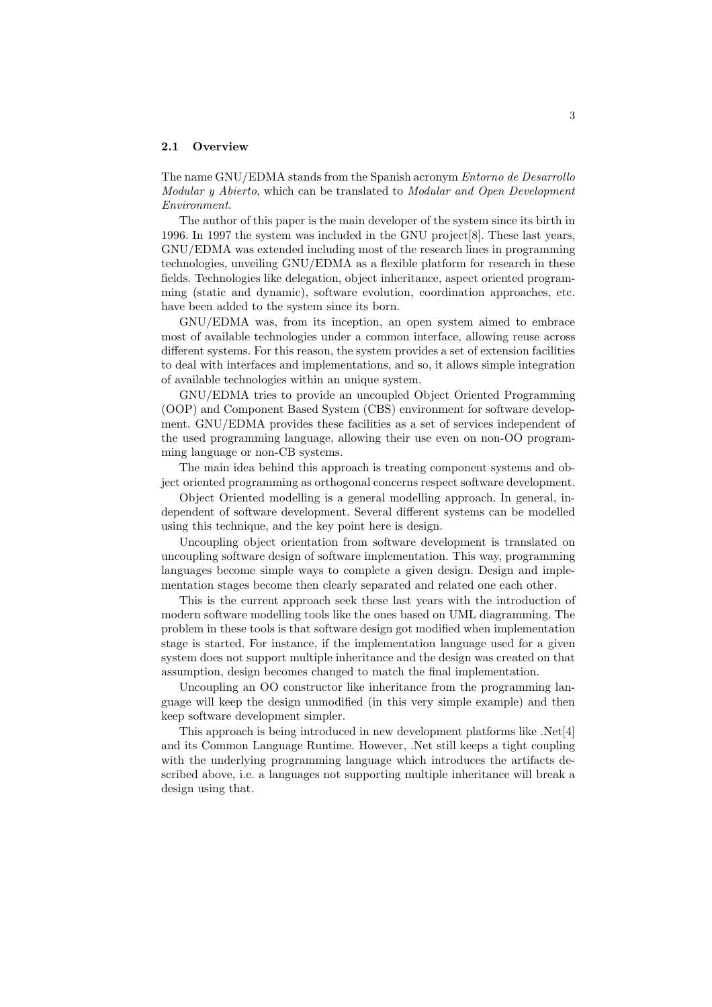#### 2.1 Overview

The name GNU/EDMA stands from the Spanish acronym Entorno de Desarrollo Modular y Abierto, which can be translated to Modular and Open Development Environment.

The author of this paper is the main developer of the system since its birth in 1996. In 1997 the system was included in the GNU project[8]. These last years, GNU/EDMA was extended including most of the research lines in programming technologies, unveiling GNU/EDMA as a flexible platform for research in these fields. Technologies like delegation, object inheritance, aspect oriented programming (static and dynamic), software evolution, coordination approaches, etc. have been added to the system since its born.

GNU/EDMA was, from its inception, an open system aimed to embrace most of available technologies under a common interface, allowing reuse across different systems. For this reason, the system provides a set of extension facilities to deal with interfaces and implementations, and so, it allows simple integration of available technologies within an unique system.

GNU/EDMA tries to provide an uncoupled Object Oriented Programming (OOP) and Component Based System (CBS) environment for software development. GNU/EDMA provides these facilities as a set of services independent of the used programming language, allowing their use even on non-OO programming language or non-CB systems.

The main idea behind this approach is treating component systems and object oriented programming as orthogonal concerns respect software development.

Object Oriented modelling is a general modelling approach. In general, independent of software development. Several different systems can be modelled using this technique, and the key point here is design.

Uncoupling object orientation from software development is translated on uncoupling software design of software implementation. This way, programming languages become simple ways to complete a given design. Design and implementation stages become then clearly separated and related one each other.

This is the current approach seek these last years with the introduction of modern software modelling tools like the ones based on UML diagramming. The problem in these tools is that software design got modified when implementation stage is started. For instance, if the implementation language used for a given system does not support multiple inheritance and the design was created on that assumption, design becomes changed to match the final implementation.

Uncoupling an OO constructor like inheritance from the programming language will keep the design unmodified (in this very simple example) and then keep software development simpler.

This approach is being introduced in new development platforms like .Net[4] and its Common Language Runtime. However, .Net still keeps a tight coupling with the underlying programming language which introduces the artifacts described above, i.e. a languages not supporting multiple inheritance will break a design using that.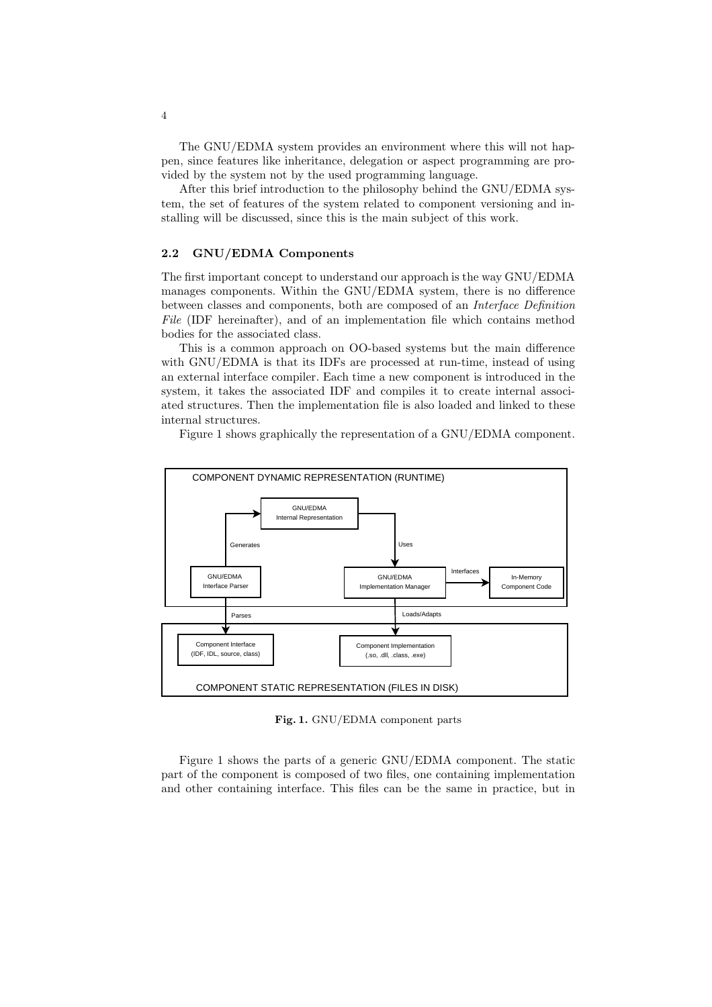The GNU/EDMA system provides an environment where this will not happen, since features like inheritance, delegation or aspect programming are provided by the system not by the used programming language.

After this brief introduction to the philosophy behind the GNU/EDMA system, the set of features of the system related to component versioning and installing will be discussed, since this is the main subject of this work.

#### 2.2 GNU/EDMA Components

The first important concept to understand our approach is the way GNU/EDMA manages components. Within the GNU/EDMA system, there is no difference between classes and components, both are composed of an Interface Definition File (IDF hereinafter), and of an implementation file which contains method bodies for the associated class.

This is a common approach on OO-based systems but the main difference with GNU/EDMA is that its IDFs are processed at run-time, instead of using an external interface compiler. Each time a new component is introduced in the system, it takes the associated IDF and compiles it to create internal associated structures. Then the implementation file is also loaded and linked to these internal structures.

Figure 1 shows graphically the representation of a GNU/EDMA component.



Fig. 1. GNU/EDMA component parts

Figure 1 shows the parts of a generic GNU/EDMA component. The static part of the component is composed of two files, one containing implementation and other containing interface. This files can be the same in practice, but in

4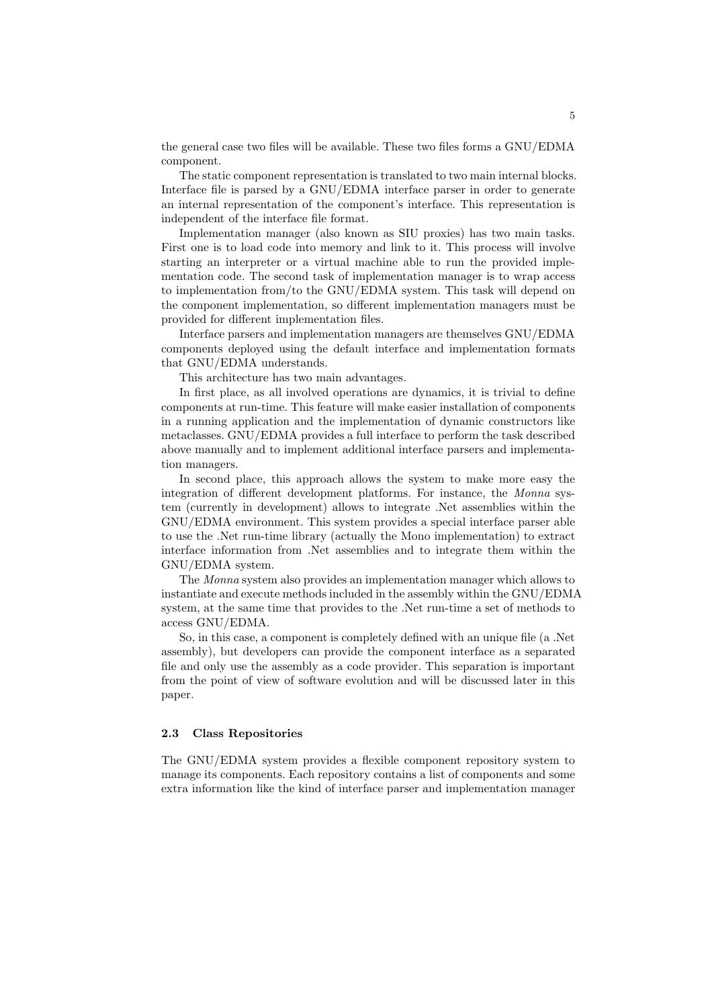the general case two files will be available. These two files forms a GNU/EDMA component.

The static component representation is translated to two main internal blocks. Interface file is parsed by a GNU/EDMA interface parser in order to generate an internal representation of the component's interface. This representation is independent of the interface file format.

Implementation manager (also known as SIU proxies) has two main tasks. First one is to load code into memory and link to it. This process will involve starting an interpreter or a virtual machine able to run the provided implementation code. The second task of implementation manager is to wrap access to implementation from/to the GNU/EDMA system. This task will depend on the component implementation, so different implementation managers must be provided for different implementation files.

Interface parsers and implementation managers are themselves GNU/EDMA components deployed using the default interface and implementation formats that GNU/EDMA understands.

This architecture has two main advantages.

In first place, as all involved operations are dynamics, it is trivial to define components at run-time. This feature will make easier installation of components in a running application and the implementation of dynamic constructors like metaclasses. GNU/EDMA provides a full interface to perform the task described above manually and to implement additional interface parsers and implementation managers.

In second place, this approach allows the system to make more easy the integration of different development platforms. For instance, the Monna system (currently in development) allows to integrate .Net assemblies within the GNU/EDMA environment. This system provides a special interface parser able to use the .Net run-time library (actually the Mono implementation) to extract interface information from .Net assemblies and to integrate them within the GNU/EDMA system.

The Monna system also provides an implementation manager which allows to instantiate and execute methods included in the assembly within the GNU/EDMA system, at the same time that provides to the .Net run-time a set of methods to access GNU/EDMA.

So, in this case, a component is completely defined with an unique file (a .Net assembly), but developers can provide the component interface as a separated file and only use the assembly as a code provider. This separation is important from the point of view of software evolution and will be discussed later in this paper.

#### 2.3 Class Repositories

The GNU/EDMA system provides a flexible component repository system to manage its components. Each repository contains a list of components and some extra information like the kind of interface parser and implementation manager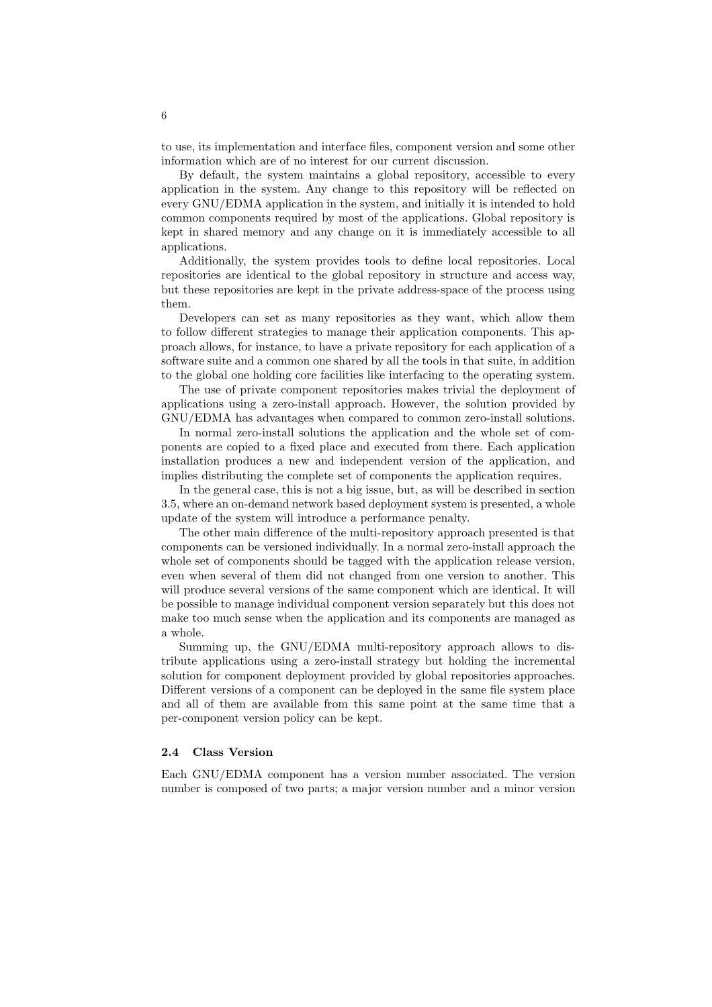to use, its implementation and interface files, component version and some other information which are of no interest for our current discussion.

By default, the system maintains a global repository, accessible to every application in the system. Any change to this repository will be reflected on every GNU/EDMA application in the system, and initially it is intended to hold common components required by most of the applications. Global repository is kept in shared memory and any change on it is immediately accessible to all applications.

Additionally, the system provides tools to define local repositories. Local repositories are identical to the global repository in structure and access way, but these repositories are kept in the private address-space of the process using them.

Developers can set as many repositories as they want, which allow them to follow different strategies to manage their application components. This approach allows, for instance, to have a private repository for each application of a software suite and a common one shared by all the tools in that suite, in addition to the global one holding core facilities like interfacing to the operating system.

The use of private component repositories makes trivial the deployment of applications using a zero-install approach. However, the solution provided by GNU/EDMA has advantages when compared to common zero-install solutions.

In normal zero-install solutions the application and the whole set of components are copied to a fixed place and executed from there. Each application installation produces a new and independent version of the application, and implies distributing the complete set of components the application requires.

In the general case, this is not a big issue, but, as will be described in section 3.5, where an on-demand network based deployment system is presented, a whole update of the system will introduce a performance penalty.

The other main difference of the multi-repository approach presented is that components can be versioned individually. In a normal zero-install approach the whole set of components should be tagged with the application release version, even when several of them did not changed from one version to another. This will produce several versions of the same component which are identical. It will be possible to manage individual component version separately but this does not make too much sense when the application and its components are managed as a whole.

Summing up, the GNU/EDMA multi-repository approach allows to distribute applications using a zero-install strategy but holding the incremental solution for component deployment provided by global repositories approaches. Different versions of a component can be deployed in the same file system place and all of them are available from this same point at the same time that a per-component version policy can be kept.

# 2.4 Class Version

Each GNU/EDMA component has a version number associated. The version number is composed of two parts; a major version number and a minor version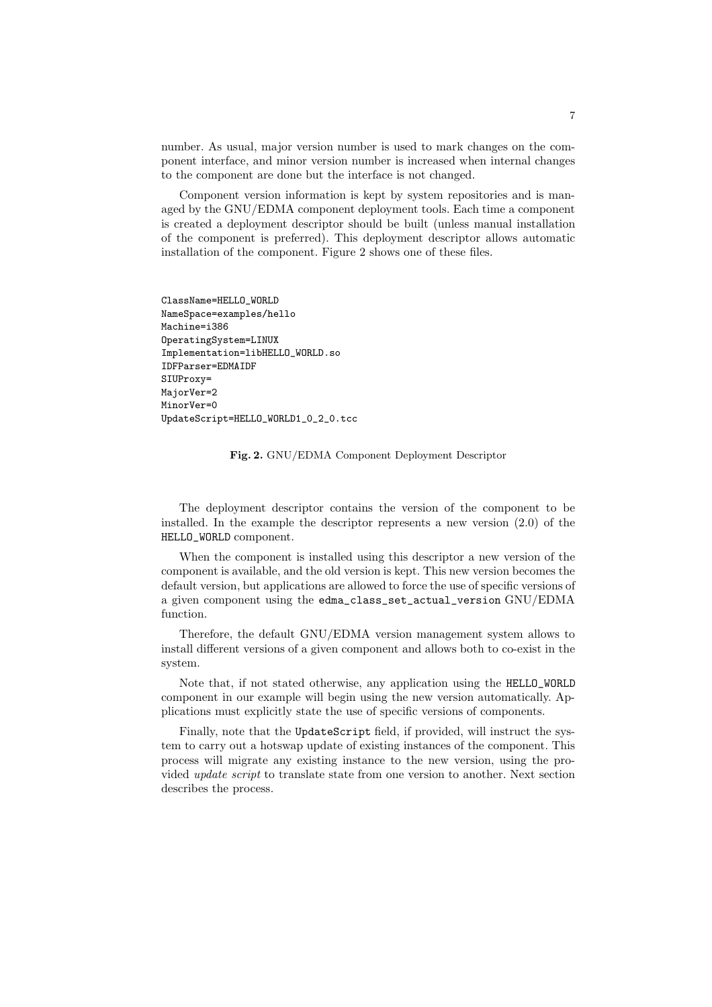number. As usual, major version number is used to mark changes on the component interface, and minor version number is increased when internal changes to the component are done but the interface is not changed.

Component version information is kept by system repositories and is managed by the GNU/EDMA component deployment tools. Each time a component is created a deployment descriptor should be built (unless manual installation of the component is preferred). This deployment descriptor allows automatic installation of the component. Figure 2 shows one of these files.

```
ClassName=HELLO_WORLD
NameSpace=examples/hello
Machine=i386
OperatingSystem=LINUX
Implementation=libHELLO_WORLD.so
IDFParser=EDMAIDF
SIUProxy=
MajorVer=2
MinorVer=0
UpdateScript=HELLO_WORLD1_0_2_0.tcc
```
#### Fig. 2. GNU/EDMA Component Deployment Descriptor

The deployment descriptor contains the version of the component to be installed. In the example the descriptor represents a new version (2.0) of the HELLO\_WORLD component.

When the component is installed using this descriptor a new version of the component is available, and the old version is kept. This new version becomes the default version, but applications are allowed to force the use of specific versions of a given component using the edma\_class\_set\_actual\_version GNU/EDMA function.

Therefore, the default GNU/EDMA version management system allows to install different versions of a given component and allows both to co-exist in the system.

Note that, if not stated otherwise, any application using the HELLO\_WORLD component in our example will begin using the new version automatically. Applications must explicitly state the use of specific versions of components.

Finally, note that the UpdateScript field, if provided, will instruct the system to carry out a hotswap update of existing instances of the component. This process will migrate any existing instance to the new version, using the provided update script to translate state from one version to another. Next section describes the process.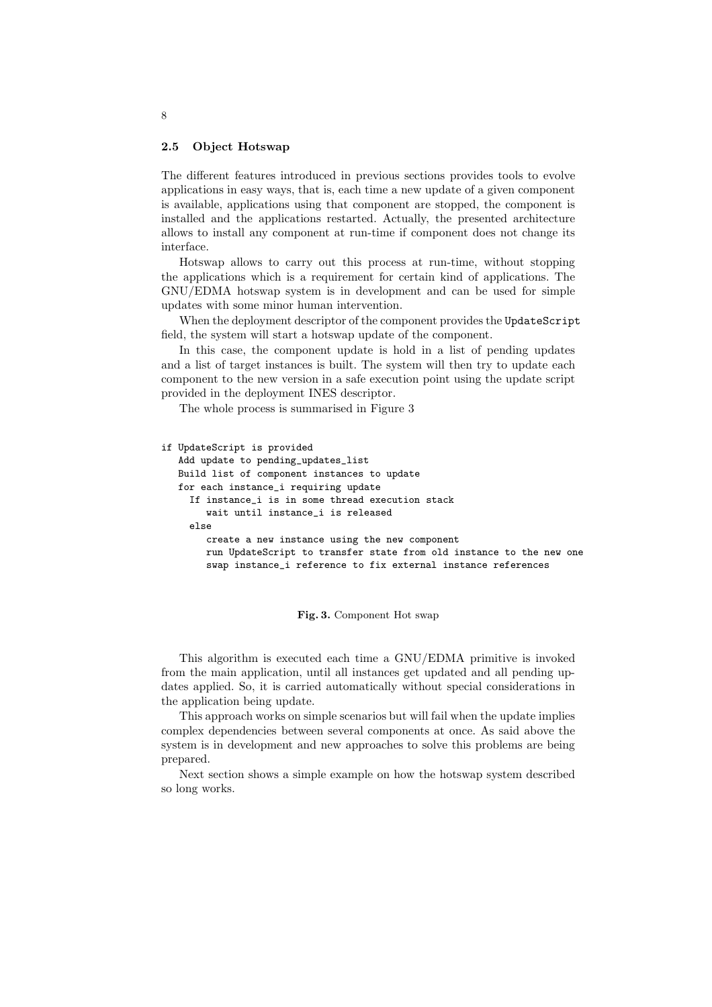#### 2.5 Object Hotswap

The different features introduced in previous sections provides tools to evolve applications in easy ways, that is, each time a new update of a given component is available, applications using that component are stopped, the component is installed and the applications restarted. Actually, the presented architecture allows to install any component at run-time if component does not change its interface.

Hotswap allows to carry out this process at run-time, without stopping the applications which is a requirement for certain kind of applications. The GNU/EDMA hotswap system is in development and can be used for simple updates with some minor human intervention.

When the deployment descriptor of the component provides the UpdateScript field, the system will start a hotswap update of the component.

In this case, the component update is hold in a list of pending updates and a list of target instances is built. The system will then try to update each component to the new version in a safe execution point using the update script provided in the deployment INES descriptor.

The whole process is summarised in Figure 3

```
if UpdateScript is provided
  Add update to pending_updates_list
  Build list of component instances to update
  for each instance_i requiring update
    If instance_i is in some thread execution stack
       wait until instance_i is released
    else
       create a new instance using the new component
       run UpdateScript to transfer state from old instance to the new one
       swap instance_i reference to fix external instance references
```
#### Fig. 3. Component Hot swap

This algorithm is executed each time a GNU/EDMA primitive is invoked from the main application, until all instances get updated and all pending updates applied. So, it is carried automatically without special considerations in the application being update.

This approach works on simple scenarios but will fail when the update implies complex dependencies between several components at once. As said above the system is in development and new approaches to solve this problems are being prepared.

Next section shows a simple example on how the hotswap system described so long works.

8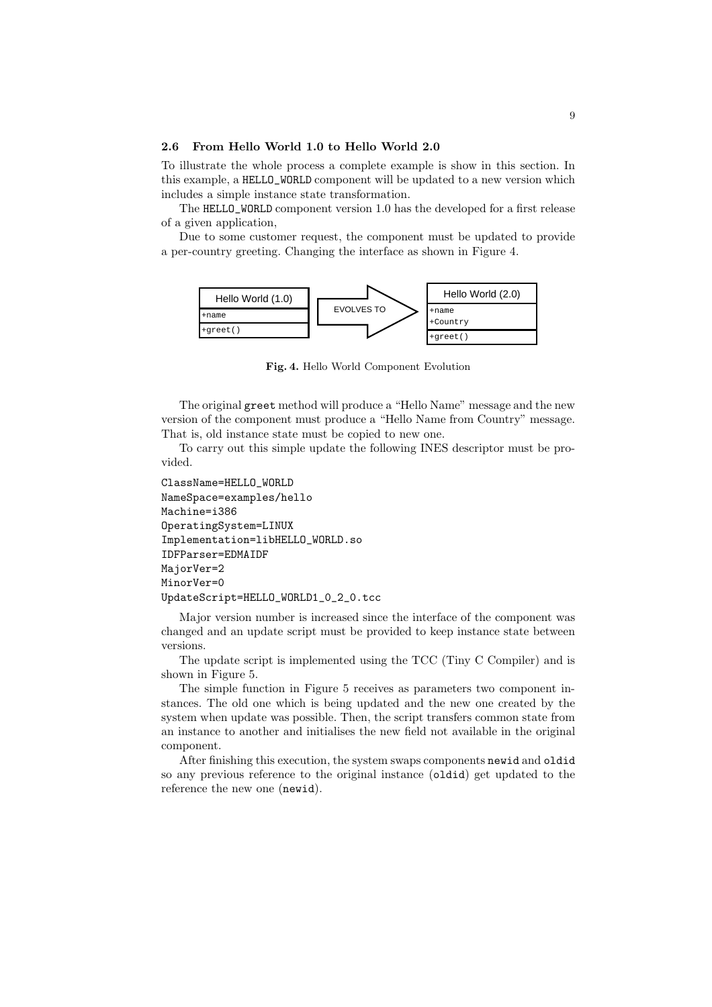### 2.6 From Hello World 1.0 to Hello World 2.0

To illustrate the whole process a complete example is show in this section. In this example, a HELLO\_WORLD component will be updated to a new version which includes a simple instance state transformation.

The HELLO\_WORLD component version 1.0 has the developed for a first release of a given application,

Due to some customer request, the component must be updated to provide a per-country greeting. Changing the interface as shown in Figure 4.



Fig. 4. Hello World Component Evolution

The original greet method will produce a "Hello Name" message and the new version of the component must produce a "Hello Name from Country" message. That is, old instance state must be copied to new one.

To carry out this simple update the following INES descriptor must be provided.

```
ClassName=HELLO_WORLD
NameSpace=examples/hello
Machine=i386
OperatingSystem=LINUX
Implementation=libHELLO_WORLD.so
IDFParser=EDMAIDF
MajorVer=2
MinorVer=0
UpdateScript=HELLO_WORLD1_0_2_0.tcc
```
Major version number is increased since the interface of the component was changed and an update script must be provided to keep instance state between versions.

The update script is implemented using the TCC (Tiny C Compiler) and is shown in Figure 5.

The simple function in Figure 5 receives as parameters two component instances. The old one which is being updated and the new one created by the system when update was possible. Then, the script transfers common state from an instance to another and initialises the new field not available in the original component.

After finishing this execution, the system swaps components newid and oldid so any previous reference to the original instance (oldid) get updated to the reference the new one (newid).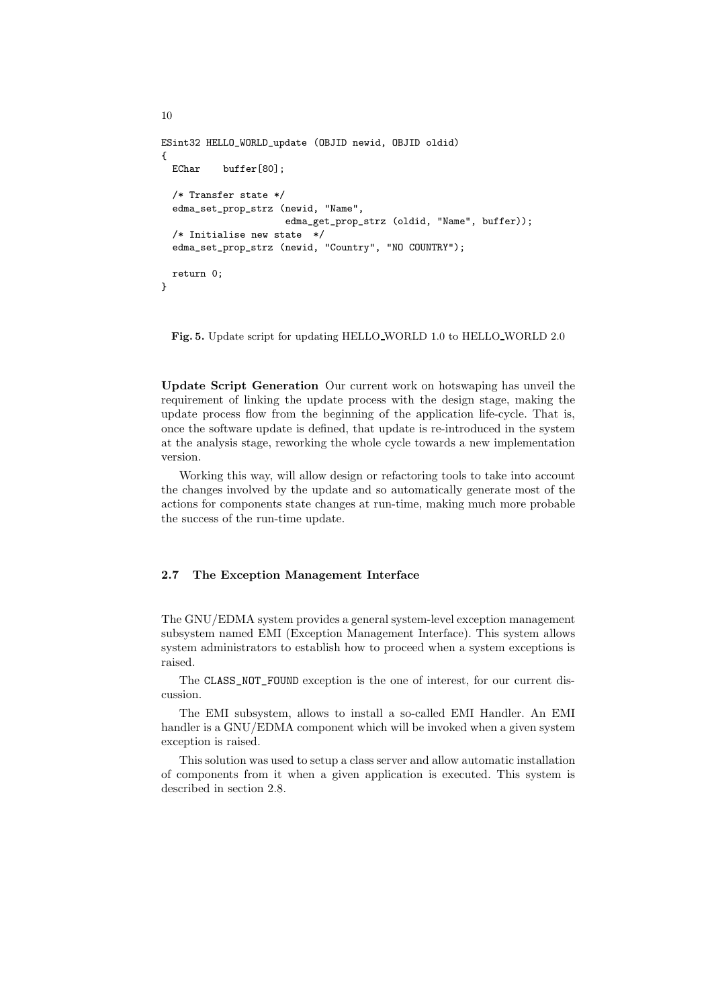```
ESint32 HELLO_WORLD_update (OBJID newid, OBJID oldid)
{
  EChar buffer[80];
  /* Transfer state */
  edma_set_prop_strz (newid, "Name",
                      edma_get_prop_strz (oldid, "Name", buffer));
  /* Initialise new state */
  edma_set_prop_strz (newid, "Country", "NO COUNTRY");
 return 0;
}
```
10

Fig. 5. Update script for updating HELLO WORLD 1.0 to HELLO WORLD 2.0

Update Script Generation Our current work on hotswaping has unveil the requirement of linking the update process with the design stage, making the update process flow from the beginning of the application life-cycle. That is, once the software update is defined, that update is re-introduced in the system at the analysis stage, reworking the whole cycle towards a new implementation version.

Working this way, will allow design or refactoring tools to take into account the changes involved by the update and so automatically generate most of the actions for components state changes at run-time, making much more probable the success of the run-time update.

### 2.7 The Exception Management Interface

The GNU/EDMA system provides a general system-level exception management subsystem named EMI (Exception Management Interface). This system allows system administrators to establish how to proceed when a system exceptions is raised.

The CLASS\_NOT\_FOUND exception is the one of interest, for our current discussion.

The EMI subsystem, allows to install a so-called EMI Handler. An EMI handler is a GNU/EDMA component which will be invoked when a given system exception is raised.

This solution was used to setup a class server and allow automatic installation of components from it when a given application is executed. This system is described in section 2.8.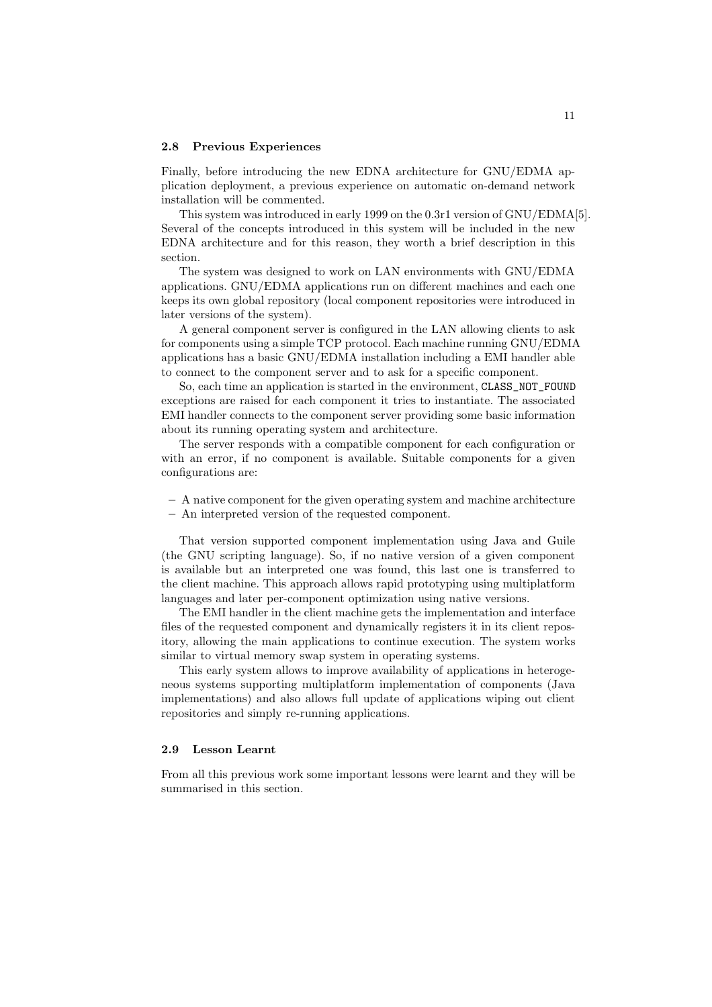#### 2.8 Previous Experiences

Finally, before introducing the new EDNA architecture for GNU/EDMA application deployment, a previous experience on automatic on-demand network installation will be commented.

This system was introduced in early 1999 on the 0.3r1 version of GNU/EDMA[5]. Several of the concepts introduced in this system will be included in the new EDNA architecture and for this reason, they worth a brief description in this section.

The system was designed to work on LAN environments with GNU/EDMA applications. GNU/EDMA applications run on different machines and each one keeps its own global repository (local component repositories were introduced in later versions of the system).

A general component server is configured in the LAN allowing clients to ask for components using a simple TCP protocol. Each machine running GNU/EDMA applications has a basic GNU/EDMA installation including a EMI handler able to connect to the component server and to ask for a specific component.

So, each time an application is started in the environment, CLASS\_NOT\_FOUND exceptions are raised for each component it tries to instantiate. The associated EMI handler connects to the component server providing some basic information about its running operating system and architecture.

The server responds with a compatible component for each configuration or with an error, if no component is available. Suitable components for a given configurations are:

- A native component for the given operating system and machine architecture
- An interpreted version of the requested component.

That version supported component implementation using Java and Guile (the GNU scripting language). So, if no native version of a given component is available but an interpreted one was found, this last one is transferred to the client machine. This approach allows rapid prototyping using multiplatform languages and later per-component optimization using native versions.

The EMI handler in the client machine gets the implementation and interface files of the requested component and dynamically registers it in its client repository, allowing the main applications to continue execution. The system works similar to virtual memory swap system in operating systems.

This early system allows to improve availability of applications in heterogeneous systems supporting multiplatform implementation of components (Java implementations) and also allows full update of applications wiping out client repositories and simply re-running applications.

#### 2.9 Lesson Learnt

From all this previous work some important lessons were learnt and they will be summarised in this section.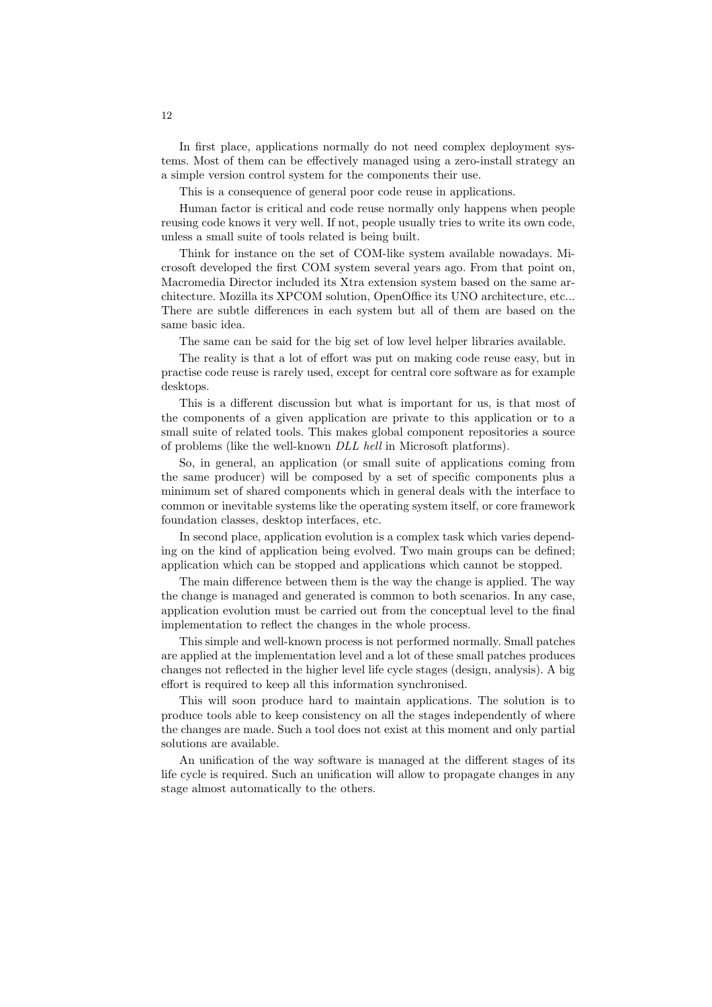In first place, applications normally do not need complex deployment systems. Most of them can be effectively managed using a zero-install strategy an a simple version control system for the components their use.

This is a consequence of general poor code reuse in applications.

Human factor is critical and code reuse normally only happens when people reusing code knows it very well. If not, people usually tries to write its own code, unless a small suite of tools related is being built.

Think for instance on the set of COM-like system available nowadays. Microsoft developed the first COM system several years ago. From that point on, Macromedia Director included its Xtra extension system based on the same architecture. Mozilla its XPCOM solution, OpenOffice its UNO architecture, etc... There are subtle differences in each system but all of them are based on the same basic idea.

The same can be said for the big set of low level helper libraries available.

The reality is that a lot of effort was put on making code reuse easy, but in practise code reuse is rarely used, except for central core software as for example desktops.

This is a different discussion but what is important for us, is that most of the components of a given application are private to this application or to a small suite of related tools. This makes global component repositories a source of problems (like the well-known DLL hell in Microsoft platforms).

So, in general, an application (or small suite of applications coming from the same producer) will be composed by a set of specific components plus a minimum set of shared components which in general deals with the interface to common or inevitable systems like the operating system itself, or core framework foundation classes, desktop interfaces, etc.

In second place, application evolution is a complex task which varies depending on the kind of application being evolved. Two main groups can be defined; application which can be stopped and applications which cannot be stopped.

The main difference between them is the way the change is applied. The way the change is managed and generated is common to both scenarios. In any case, application evolution must be carried out from the conceptual level to the final implementation to reflect the changes in the whole process.

This simple and well-known process is not performed normally. Small patches are applied at the implementation level and a lot of these small patches produces changes not reflected in the higher level life cycle stages (design, analysis). A big effort is required to keep all this information synchronised.

This will soon produce hard to maintain applications. The solution is to produce tools able to keep consistency on all the stages independently of where the changes are made. Such a tool does not exist at this moment and only partial solutions are available.

An unification of the way software is managed at the different stages of its life cycle is required. Such an unification will allow to propagate changes in any stage almost automatically to the others.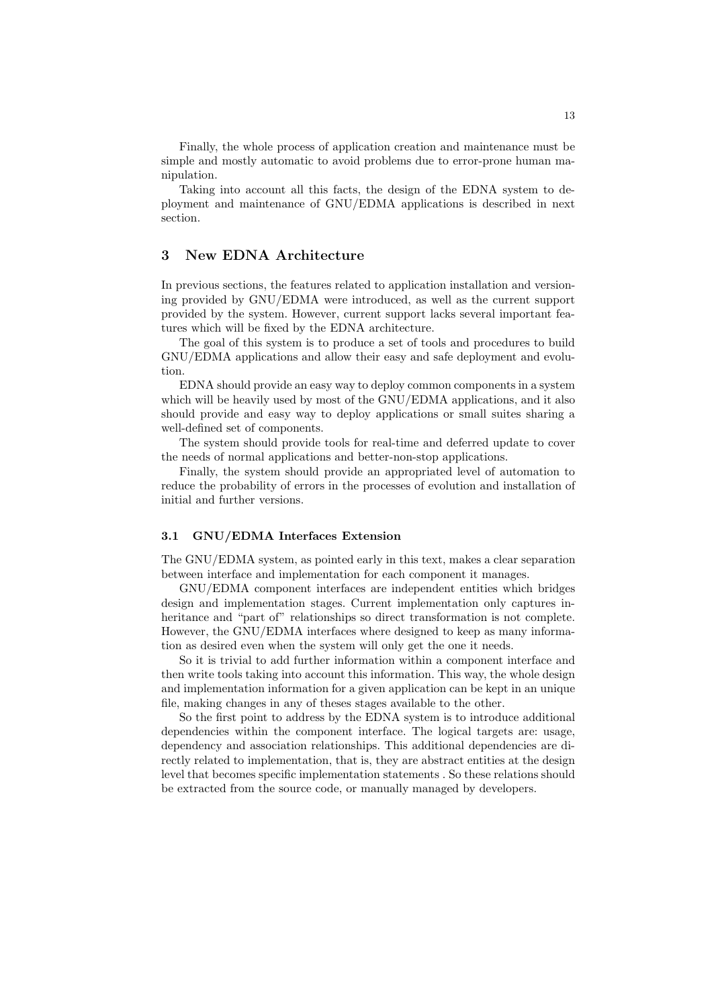Finally, the whole process of application creation and maintenance must be simple and mostly automatic to avoid problems due to error-prone human manipulation.

Taking into account all this facts, the design of the EDNA system to deployment and maintenance of GNU/EDMA applications is described in next section.

# 3 New EDNA Architecture

In previous sections, the features related to application installation and versioning provided by GNU/EDMA were introduced, as well as the current support provided by the system. However, current support lacks several important features which will be fixed by the EDNA architecture.

The goal of this system is to produce a set of tools and procedures to build GNU/EDMA applications and allow their easy and safe deployment and evolution.

EDNA should provide an easy way to deploy common components in a system which will be heavily used by most of the GNU/EDMA applications, and it also should provide and easy way to deploy applications or small suites sharing a well-defined set of components.

The system should provide tools for real-time and deferred update to cover the needs of normal applications and better-non-stop applications.

Finally, the system should provide an appropriated level of automation to reduce the probability of errors in the processes of evolution and installation of initial and further versions.

## 3.1 GNU/EDMA Interfaces Extension

The GNU/EDMA system, as pointed early in this text, makes a clear separation between interface and implementation for each component it manages.

GNU/EDMA component interfaces are independent entities which bridges design and implementation stages. Current implementation only captures inheritance and "part of" relationships so direct transformation is not complete. However, the GNU/EDMA interfaces where designed to keep as many information as desired even when the system will only get the one it needs.

So it is trivial to add further information within a component interface and then write tools taking into account this information. This way, the whole design and implementation information for a given application can be kept in an unique file, making changes in any of theses stages available to the other.

So the first point to address by the EDNA system is to introduce additional dependencies within the component interface. The logical targets are: usage, dependency and association relationships. This additional dependencies are directly related to implementation, that is, they are abstract entities at the design level that becomes specific implementation statements . So these relations should be extracted from the source code, or manually managed by developers.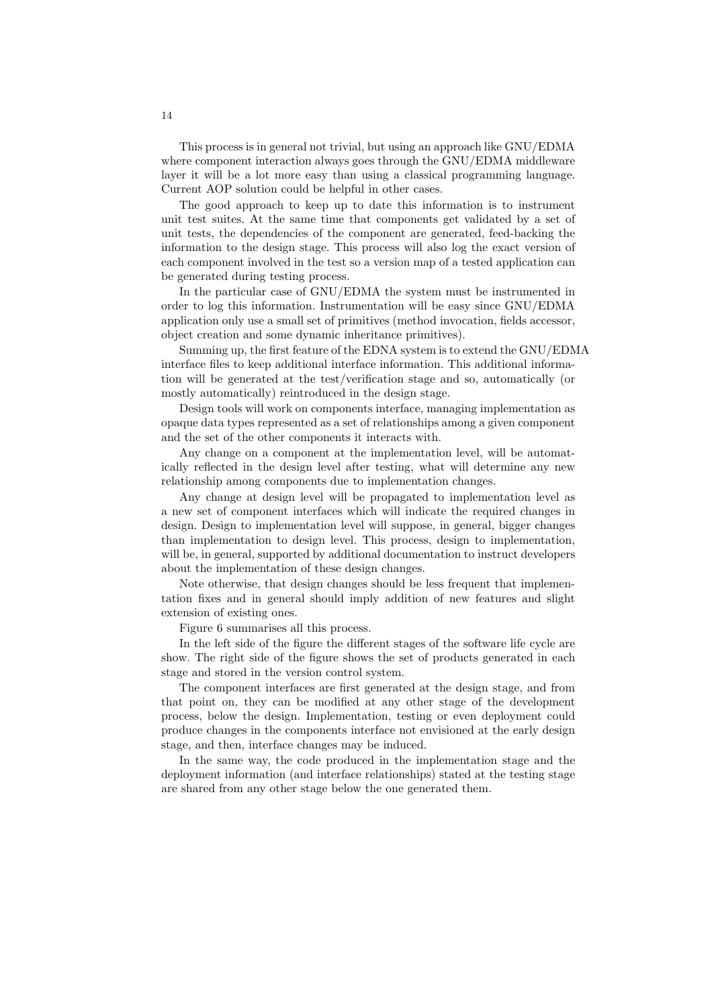This process is in general not trivial, but using an approach like GNU/EDMA where component interaction always goes through the GNU/EDMA middleware layer it will be a lot more easy than using a classical programming language. Current AOP solution could be helpful in other cases.

The good approach to keep up to date this information is to instrument unit test suites. At the same time that components get validated by a set of unit tests, the dependencies of the component are generated, feed-backing the information to the design stage. This process will also log the exact version of each component involved in the test so a version map of a tested application can be generated during testing process.

In the particular case of GNU/EDMA the system must be instrumented in order to log this information. Instrumentation will be easy since GNU/EDMA application only use a small set of primitives (method invocation, fields accessor, object creation and some dynamic inheritance primitives).

Summing up, the first feature of the EDNA system is to extend the GNU/EDMA interface files to keep additional interface information. This additional information will be generated at the test/verification stage and so, automatically (or mostly automatically) reintroduced in the design stage.

Design tools will work on components interface, managing implementation as opaque data types represented as a set of relationships among a given component and the set of the other components it interacts with.

Any change on a component at the implementation level, will be automatically reflected in the design level after testing, what will determine any new relationship among components due to implementation changes.

Any change at design level will be propagated to implementation level as a new set of component interfaces which will indicate the required changes in design. Design to implementation level will suppose, in general, bigger changes than implementation to design level. This process, design to implementation, will be, in general, supported by additional documentation to instruct developers about the implementation of these design changes.

Note otherwise, that design changes should be less frequent that implementation fixes and in general should imply addition of new features and slight extension of existing ones.

Figure 6 summarises all this process.

In the left side of the figure the different stages of the software life cycle are show. The right side of the figure shows the set of products generated in each stage and stored in the version control system.

The component interfaces are first generated at the design stage, and from that point on, they can be modified at any other stage of the development process, below the design. Implementation, testing or even deployment could produce changes in the components interface not envisioned at the early design stage, and then, interface changes may be induced.

In the same way, the code produced in the implementation stage and the deployment information (and interface relationships) stated at the testing stage are shared from any other stage below the one generated them.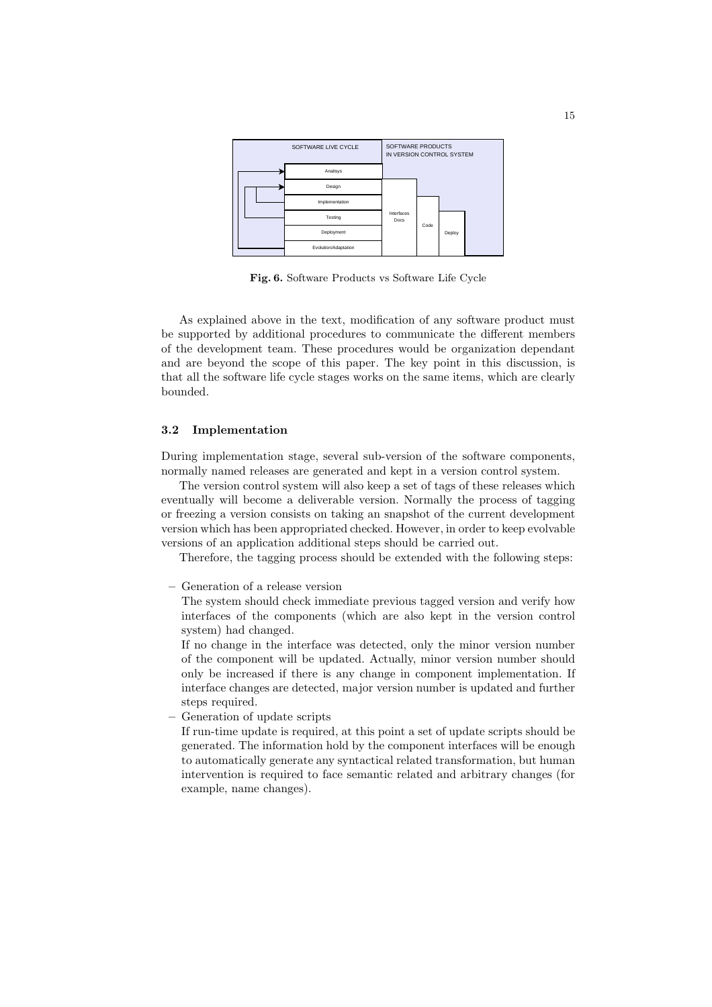

Fig. 6. Software Products vs Software Life Cycle

As explained above in the text, modification of any software product must be supported by additional procedures to communicate the different members of the development team. These procedures would be organization dependant and are beyond the scope of this paper. The key point in this discussion, is that all the software life cycle stages works on the same items, which are clearly bounded.

### 3.2 Implementation

During implementation stage, several sub-version of the software components, normally named releases are generated and kept in a version control system.

The version control system will also keep a set of tags of these releases which eventually will become a deliverable version. Normally the process of tagging or freezing a version consists on taking an snapshot of the current development version which has been appropriated checked. However, in order to keep evolvable versions of an application additional steps should be carried out.

Therefore, the tagging process should be extended with the following steps:

– Generation of a release version

The system should check immediate previous tagged version and verify how interfaces of the components (which are also kept in the version control system) had changed.

If no change in the interface was detected, only the minor version number of the component will be updated. Actually, minor version number should only be increased if there is any change in component implementation. If interface changes are detected, major version number is updated and further steps required.

– Generation of update scripts

If run-time update is required, at this point a set of update scripts should be generated. The information hold by the component interfaces will be enough to automatically generate any syntactical related transformation, but human intervention is required to face semantic related and arbitrary changes (for example, name changes).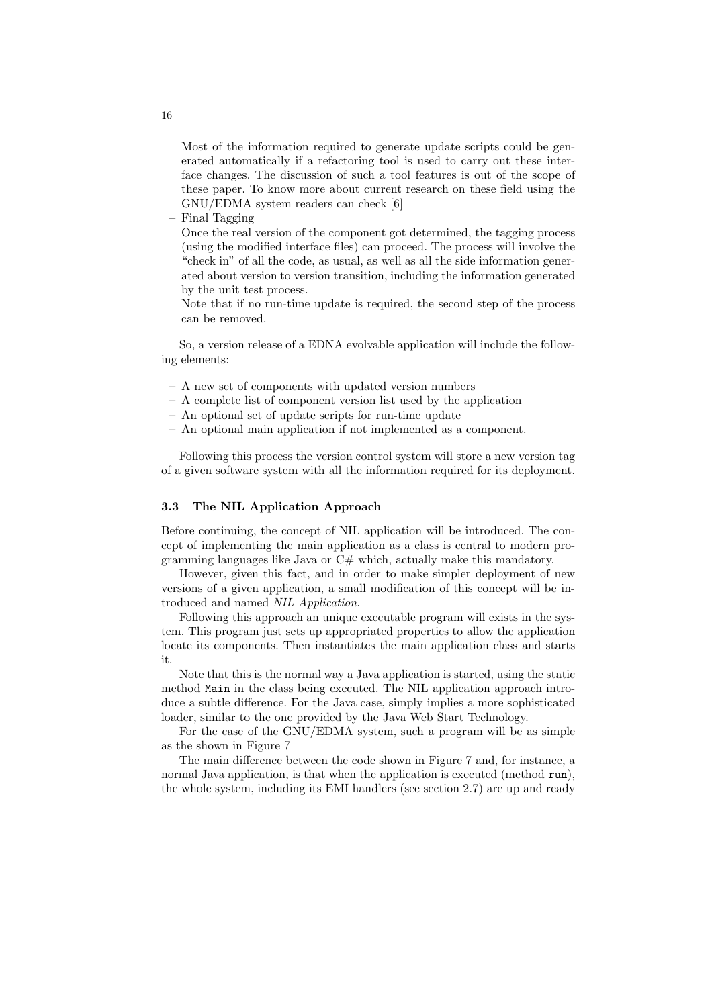Most of the information required to generate update scripts could be generated automatically if a refactoring tool is used to carry out these interface changes. The discussion of such a tool features is out of the scope of these paper. To know more about current research on these field using the GNU/EDMA system readers can check [6]

– Final Tagging

Once the real version of the component got determined, the tagging process (using the modified interface files) can proceed. The process will involve the "check in" of all the code, as usual, as well as all the side information generated about version to version transition, including the information generated by the unit test process.

Note that if no run-time update is required, the second step of the process can be removed.

So, a version release of a EDNA evolvable application will include the following elements:

- A new set of components with updated version numbers
- A complete list of component version list used by the application
- An optional set of update scripts for run-time update
- An optional main application if not implemented as a component.

Following this process the version control system will store a new version tag of a given software system with all the information required for its deployment.

### 3.3 The NIL Application Approach

Before continuing, the concept of NIL application will be introduced. The concept of implementing the main application as a class is central to modern programming languages like Java or  $C#$  which, actually make this mandatory.

However, given this fact, and in order to make simpler deployment of new versions of a given application, a small modification of this concept will be introduced and named NIL Application.

Following this approach an unique executable program will exists in the system. This program just sets up appropriated properties to allow the application locate its components. Then instantiates the main application class and starts it.

Note that this is the normal way a Java application is started, using the static method Main in the class being executed. The NIL application approach introduce a subtle difference. For the Java case, simply implies a more sophisticated loader, similar to the one provided by the Java Web Start Technology.

For the case of the GNU/EDMA system, such a program will be as simple as the shown in Figure 7

The main difference between the code shown in Figure 7 and, for instance, a normal Java application, is that when the application is executed (method run), the whole system, including its EMI handlers (see section 2.7) are up and ready

16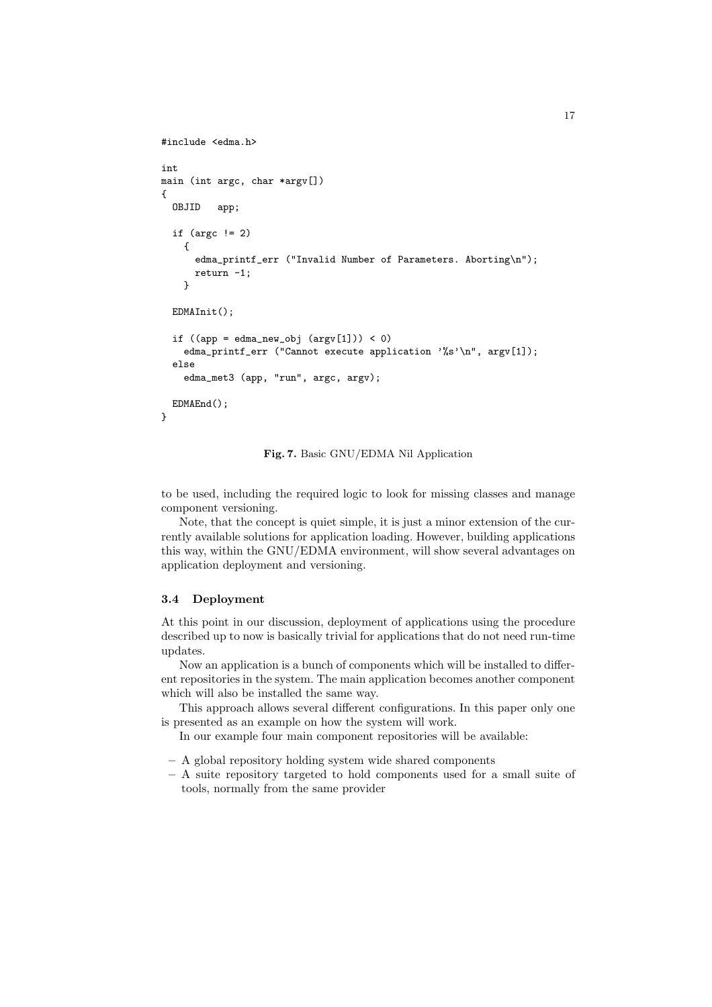```
#include <edma.h>
int
main (int argc, char *argv[])
{
 OBJID app;
  if (\arg c := 2){
      edma_printf_err ("Invalid Number of Parameters. Aborting\n");
      return -1;
    }
 EDMAInit();
  if ((app = edma_new_obj (argv[1])) < 0)edma_printf_err ("Cannot execute application '%s'\n", argv[1]);
  else
    edma_met3 (app, "run", argc, argv);
 EDMAEnd();
}
```
# Fig. 7. Basic GNU/EDMA Nil Application

to be used, including the required logic to look for missing classes and manage component versioning.

Note, that the concept is quiet simple, it is just a minor extension of the currently available solutions for application loading. However, building applications this way, within the GNU/EDMA environment, will show several advantages on application deployment and versioning.

### 3.4 Deployment

At this point in our discussion, deployment of applications using the procedure described up to now is basically trivial for applications that do not need run-time updates.

Now an application is a bunch of components which will be installed to different repositories in the system. The main application becomes another component which will also be installed the same way.

This approach allows several different configurations. In this paper only one is presented as an example on how the system will work.

In our example four main component repositories will be available:

- A global repository holding system wide shared components
- A suite repository targeted to hold components used for a small suite of tools, normally from the same provider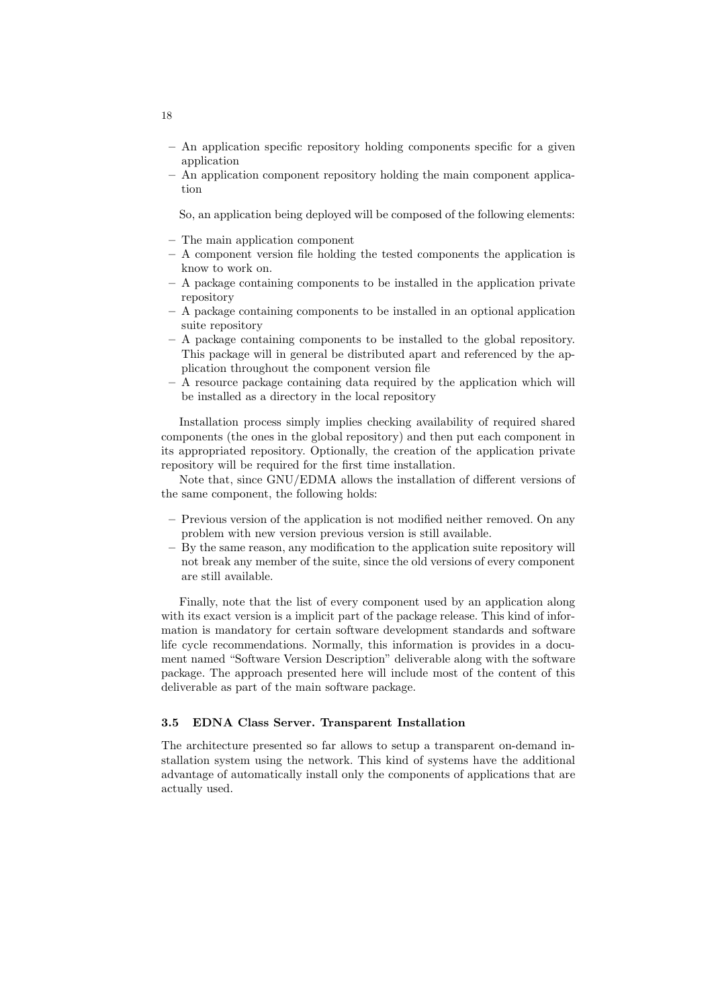- An application specific repository holding components specific for a given application
- An application component repository holding the main component application

So, an application being deployed will be composed of the following elements:

- The main application component
- A component version file holding the tested components the application is know to work on.
- A package containing components to be installed in the application private repository
- A package containing components to be installed in an optional application suite repository
- A package containing components to be installed to the global repository. This package will in general be distributed apart and referenced by the application throughout the component version file
- A resource package containing data required by the application which will be installed as a directory in the local repository

Installation process simply implies checking availability of required shared components (the ones in the global repository) and then put each component in its appropriated repository. Optionally, the creation of the application private repository will be required for the first time installation.

Note that, since GNU/EDMA allows the installation of different versions of the same component, the following holds:

- Previous version of the application is not modified neither removed. On any problem with new version previous version is still available.
- By the same reason, any modification to the application suite repository will not break any member of the suite, since the old versions of every component are still available.

Finally, note that the list of every component used by an application along with its exact version is a implicit part of the package release. This kind of information is mandatory for certain software development standards and software life cycle recommendations. Normally, this information is provides in a document named "Software Version Description" deliverable along with the software package. The approach presented here will include most of the content of this deliverable as part of the main software package.

### 3.5 EDNA Class Server. Transparent Installation

The architecture presented so far allows to setup a transparent on-demand installation system using the network. This kind of systems have the additional advantage of automatically install only the components of applications that are actually used.

18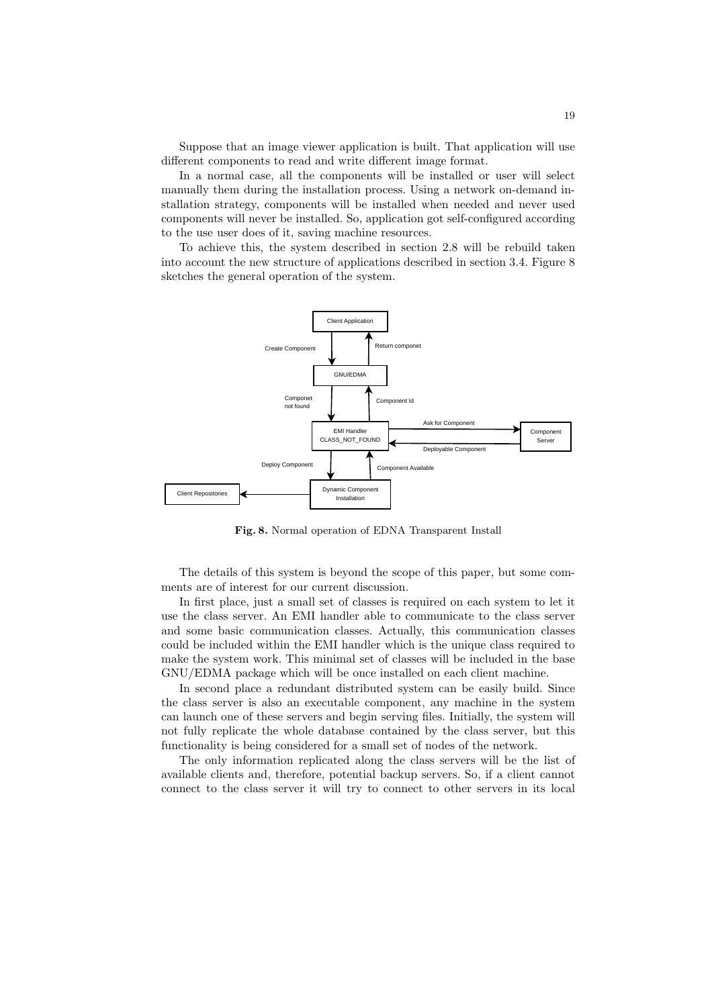Suppose that an image viewer application is built. That application will use different components to read and write different image format.

In a normal case, all the components will be installed or user will select manually them during the installation process. Using a network on-demand installation strategy, components will be installed when needed and never used components will never be installed. So, application got self-configured according to the use user does of it, saving machine resources.

To achieve this, the system described in section 2.8 will be rebuild taken into account the new structure of applications described in section 3.4. Figure 8 sketches the general operation of the system.



Fig. 8. Normal operation of EDNA Transparent Install

The details of this system is beyond the scope of this paper, but some comments are of interest for our current discussion.

In first place, just a small set of classes is required on each system to let it use the class server. An EMI handler able to communicate to the class server and some basic communication classes. Actually, this communication classes could be included within the EMI handler which is the unique class required to make the system work. This minimal set of classes will be included in the base GNU/EDMA package which will be once installed on each client machine.

In second place a redundant distributed system can be easily build. Since the class server is also an executable component, any machine in the system can launch one of these servers and begin serving files. Initially, the system will not fully replicate the whole database contained by the class server, but this functionality is being considered for a small set of nodes of the network.

The only information replicated along the class servers will be the list of available clients and, therefore, potential backup servers. So, if a client cannot connect to the class server it will try to connect to other servers in its local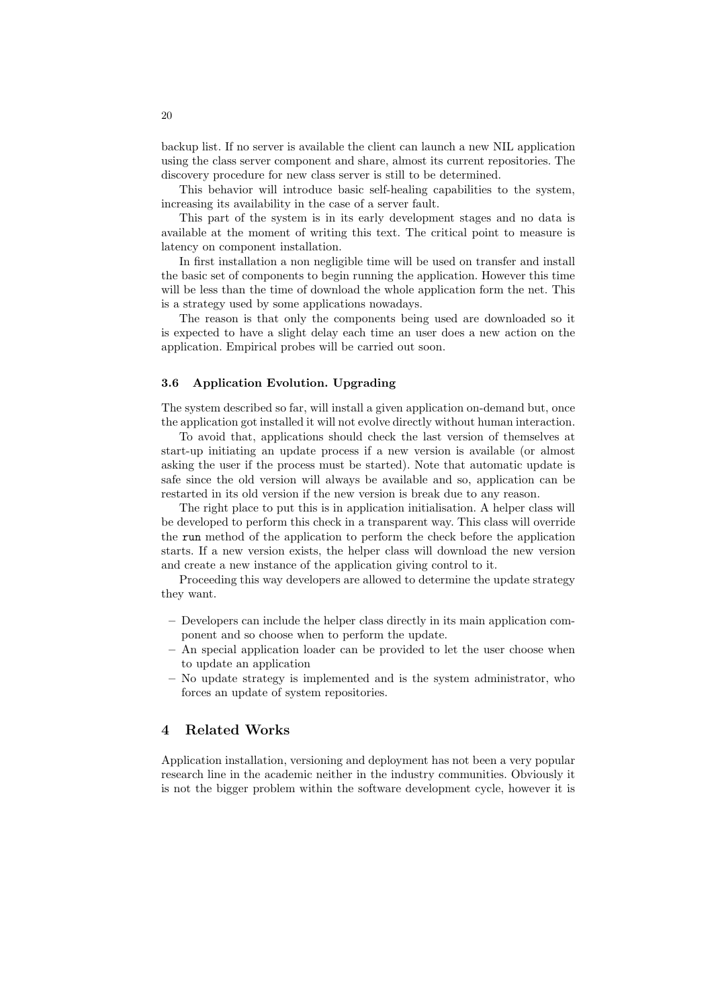backup list. If no server is available the client can launch a new NIL application using the class server component and share, almost its current repositories. The discovery procedure for new class server is still to be determined.

This behavior will introduce basic self-healing capabilities to the system, increasing its availability in the case of a server fault.

This part of the system is in its early development stages and no data is available at the moment of writing this text. The critical point to measure is latency on component installation.

In first installation a non negligible time will be used on transfer and install the basic set of components to begin running the application. However this time will be less than the time of download the whole application form the net. This is a strategy used by some applications nowadays.

The reason is that only the components being used are downloaded so it is expected to have a slight delay each time an user does a new action on the application. Empirical probes will be carried out soon.

# 3.6 Application Evolution. Upgrading

The system described so far, will install a given application on-demand but, once the application got installed it will not evolve directly without human interaction.

To avoid that, applications should check the last version of themselves at start-up initiating an update process if a new version is available (or almost asking the user if the process must be started). Note that automatic update is safe since the old version will always be available and so, application can be restarted in its old version if the new version is break due to any reason.

The right place to put this is in application initialisation. A helper class will be developed to perform this check in a transparent way. This class will override the run method of the application to perform the check before the application starts. If a new version exists, the helper class will download the new version and create a new instance of the application giving control to it.

Proceeding this way developers are allowed to determine the update strategy they want.

- Developers can include the helper class directly in its main application component and so choose when to perform the update.
- An special application loader can be provided to let the user choose when to update an application
- No update strategy is implemented and is the system administrator, who forces an update of system repositories.

# 4 Related Works

Application installation, versioning and deployment has not been a very popular research line in the academic neither in the industry communities. Obviously it is not the bigger problem within the software development cycle, however it is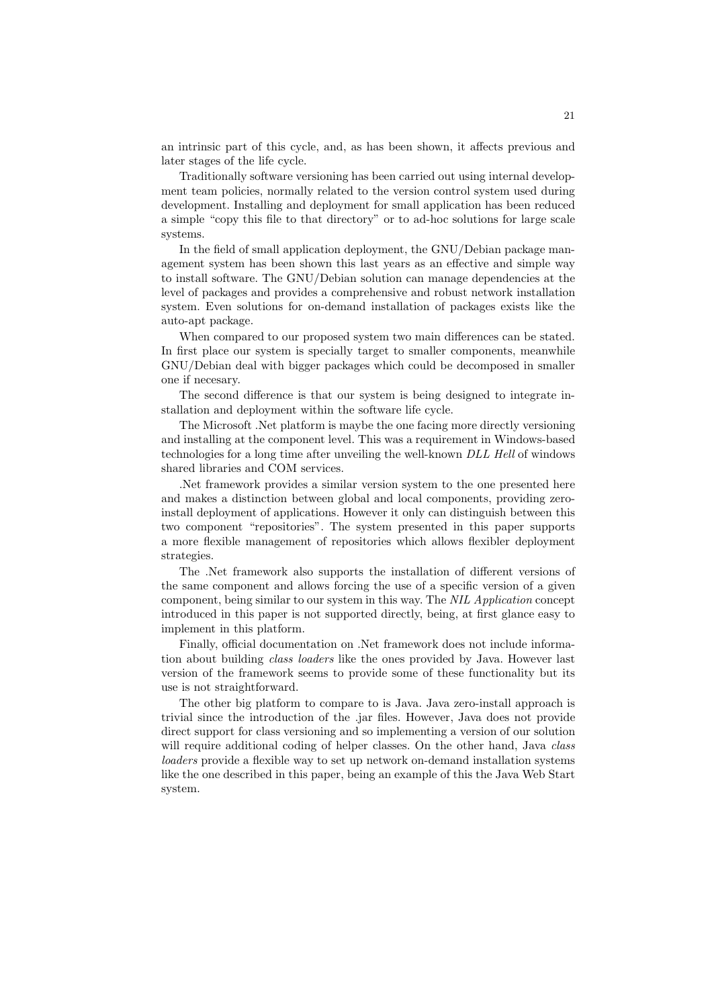an intrinsic part of this cycle, and, as has been shown, it affects previous and later stages of the life cycle.

Traditionally software versioning has been carried out using internal development team policies, normally related to the version control system used during development. Installing and deployment for small application has been reduced a simple "copy this file to that directory" or to ad-hoc solutions for large scale systems.

In the field of small application deployment, the GNU/Debian package management system has been shown this last years as an effective and simple way to install software. The GNU/Debian solution can manage dependencies at the level of packages and provides a comprehensive and robust network installation system. Even solutions for on-demand installation of packages exists like the auto-apt package.

When compared to our proposed system two main differences can be stated. In first place our system is specially target to smaller components, meanwhile GNU/Debian deal with bigger packages which could be decomposed in smaller one if necesary.

The second difference is that our system is being designed to integrate installation and deployment within the software life cycle.

The Microsoft .Net platform is maybe the one facing more directly versioning and installing at the component level. This was a requirement in Windows-based technologies for a long time after unveiling the well-known DLL Hell of windows shared libraries and COM services.

.Net framework provides a similar version system to the one presented here and makes a distinction between global and local components, providing zeroinstall deployment of applications. However it only can distinguish between this two component "repositories". The system presented in this paper supports a more flexible management of repositories which allows flexibler deployment strategies.

The .Net framework also supports the installation of different versions of the same component and allows forcing the use of a specific version of a given component, being similar to our system in this way. The NIL Application concept introduced in this paper is not supported directly, being, at first glance easy to implement in this platform.

Finally, official documentation on .Net framework does not include information about building class loaders like the ones provided by Java. However last version of the framework seems to provide some of these functionality but its use is not straightforward.

The other big platform to compare to is Java. Java zero-install approach is trivial since the introduction of the .jar files. However, Java does not provide direct support for class versioning and so implementing a version of our solution will require additional coding of helper classes. On the other hand, Java class loaders provide a flexible way to set up network on-demand installation systems like the one described in this paper, being an example of this the Java Web Start system.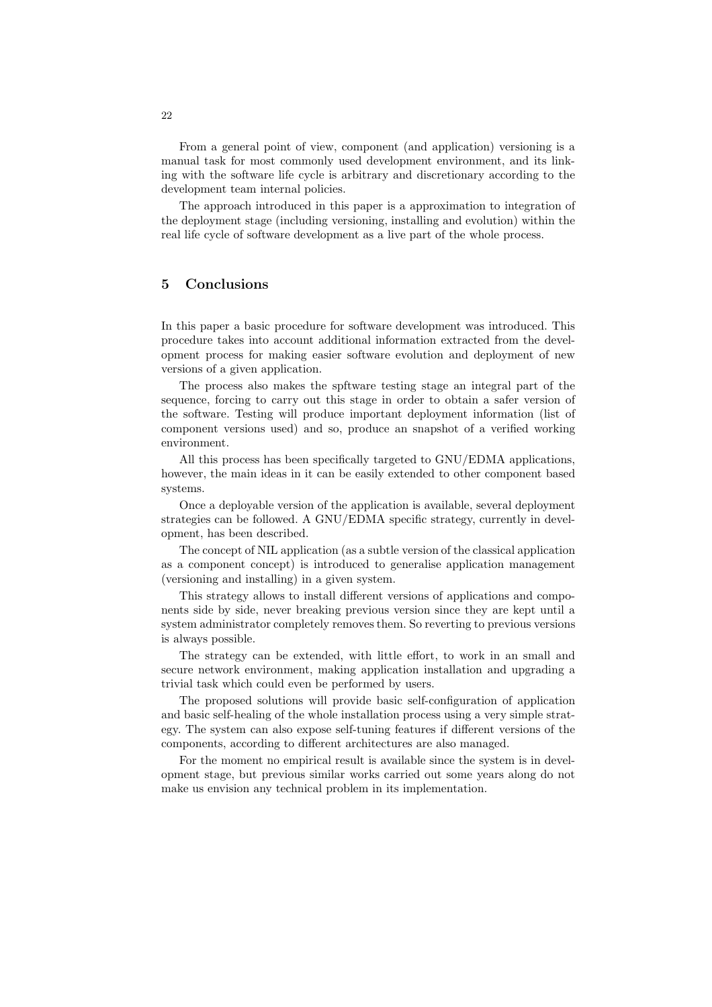From a general point of view, component (and application) versioning is a manual task for most commonly used development environment, and its linking with the software life cycle is arbitrary and discretionary according to the development team internal policies.

The approach introduced in this paper is a approximation to integration of the deployment stage (including versioning, installing and evolution) within the real life cycle of software development as a live part of the whole process.

# 5 Conclusions

In this paper a basic procedure for software development was introduced. This procedure takes into account additional information extracted from the development process for making easier software evolution and deployment of new versions of a given application.

The process also makes the spftware testing stage an integral part of the sequence, forcing to carry out this stage in order to obtain a safer version of the software. Testing will produce important deployment information (list of component versions used) and so, produce an snapshot of a verified working environment.

All this process has been specifically targeted to GNU/EDMA applications, however, the main ideas in it can be easily extended to other component based systems.

Once a deployable version of the application is available, several deployment strategies can be followed. A GNU/EDMA specific strategy, currently in development, has been described.

The concept of NIL application (as a subtle version of the classical application as a component concept) is introduced to generalise application management (versioning and installing) in a given system.

This strategy allows to install different versions of applications and components side by side, never breaking previous version since they are kept until a system administrator completely removes them. So reverting to previous versions is always possible.

The strategy can be extended, with little effort, to work in an small and secure network environment, making application installation and upgrading a trivial task which could even be performed by users.

The proposed solutions will provide basic self-configuration of application and basic self-healing of the whole installation process using a very simple strategy. The system can also expose self-tuning features if different versions of the components, according to different architectures are also managed.

For the moment no empirical result is available since the system is in development stage, but previous similar works carried out some years along do not make us envision any technical problem in its implementation.